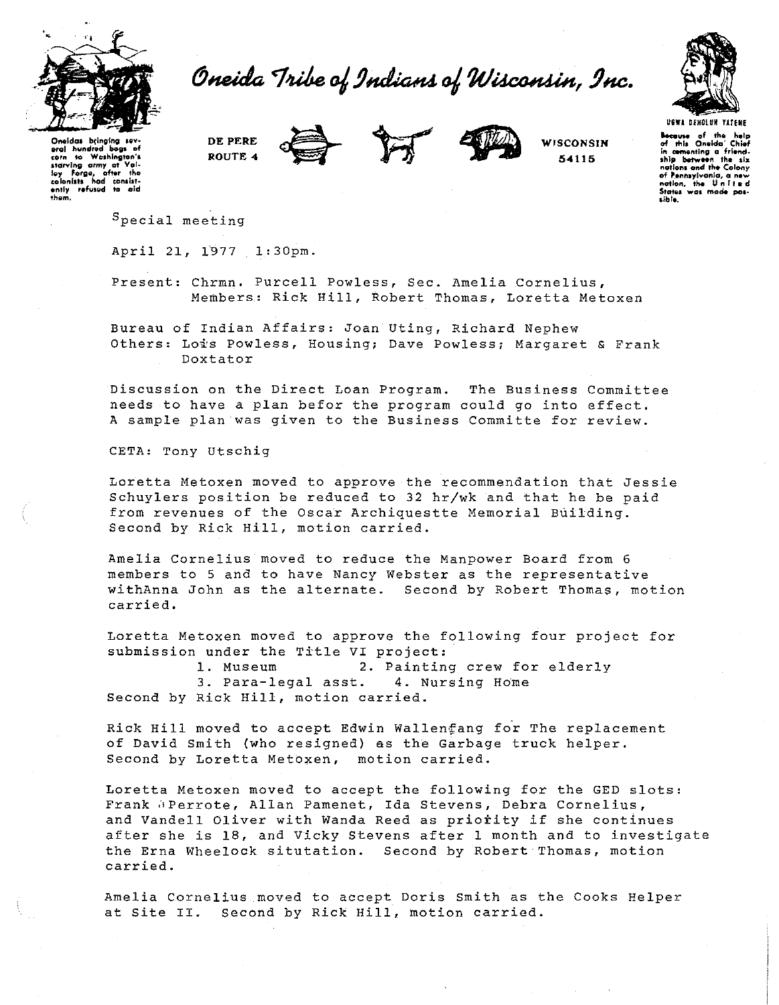

Oneida Tribe of Indians of Wisconsin, Inc.



Oneidas bringing sevpral hundred bogs of Washington's  $10<sup>2</sup>$ starving army at starving army at value<br>loy Forge, after the<br>colonists had consist-<br>ently refused to cid DE PERE ROUTE 4





WISCONSIN 54115

**Because** of the help<br>of this Oneida' Chief<br>in cementing a friend-<br>ship between the six nations and the Colony of Pennsylvania, a new sible.

Special meeting

April 21, 1977 1:30pm.

Present: Chrmn. Purcell Powless, Sec. Amelia Cornelius, Members: Rick Hill, Robert Thomas, Loretta Metoxen

Bureau of Indian Affairs: Joan Uting, Richard Nephew Others: Lois Powless, Housing; Dave Powless; Margaret & Frank Doxtator

Discussion on the Direct Loan Program. The Business Committee needs to have a plan befor the program could go into effect. A sample plan was given to the Business Committe for review.

CETA: Tony Utschig

Loretta Metoxen moved to approve the recommendation that Jessie Schuylers position be reduced to 32 hr/wk and that he be paid from revenues of the Oscar Archiquestte Memorial Building. Second by Rick Hill, motion carried.

Amelia Cornelius moved to reduce the Manpower Board from 6 members to 5 and to have Nancy Webster as the representative withAnna John as the alternate. Second by Robert Thomas, motion carried.

Loretta Metoxen moved to approve the following four project for submission under the Title VI project:

1. Museum 2. Painting crew for elderly 3. Para-legal asst. 4. Nursing Home Second by Rick Hill, motion carried.

Rick Hill moved to accept Edwin Wallenfang for The replacement of David Smith (who resigned) as the Garbage truck helper. Second by Loretta Metoxen, motion carried.

Loretta Metoxen moved to accept the following for the GED slots: Frank @Perrote, Allan Pamenet, Ida Stevens, Debra Cornelius, and Vandell Oliver with Wanda Reed as priority if she continues after she is 18, and Vicky Stevens after 1 month and to investigate the Erna Wheelock situtation. Second by Robert Thomas, motion carried.

Amelia Cornelius moved to accept Doris Smith as the Cooks Helper at Site II. Second by Rick Hill, motion carried.